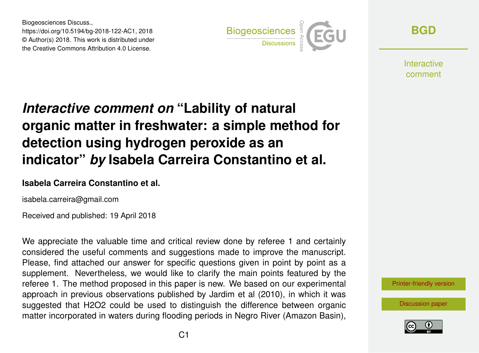Biogeosciences Discuss., https://doi.org/10.5194/bg-2018-122-AC1, 2018 © Author(s) 2018. This work is distributed under the Creative Commons Attribution 4.0 License.



**[BGD](https://www.biogeosciences-discuss.net/)**

**Interactive** comment

# *Interactive comment on* **"Lability of natural organic matter in freshwater: a simple method for detection using hydrogen peroxide as an indicator"** *by* **Isabela Carreira Constantino et al.**

#### **Isabela Carreira Constantino et al.**

isabela.carreira@gmail.com

Received and published: 19 April 2018

We appreciate the valuable time and critical review done by referee 1 and certainly considered the useful comments and suggestions made to improve the manuscript. Please, find attached our answer for specific questions given in point by point as a supplement. Nevertheless, we would like to clarify the main points featured by the referee 1. The method proposed in this paper is new. We based on our experimental approach in previous observations published by Jardim et al (2010), in which it was suggested that H2O2 could be used to distinguish the difference between organic matter incorporated in waters during flooding periods in Negro River (Amazon Basin),

[Printer-friendly version](https://www.biogeosciences-discuss.net/bg-2018-122/bg-2018-122-AC1-print.pdf)

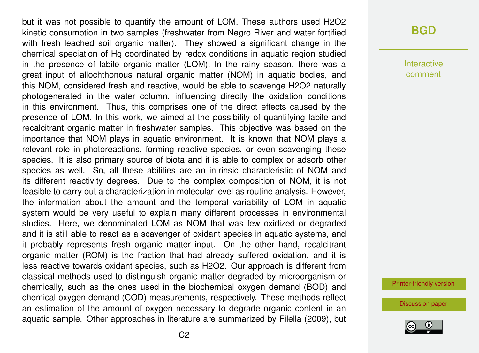but it was not possible to quantify the amount of LOM. These authors used H2O2 kinetic consumption in two samples (freshwater from Negro River and water fortified with fresh leached soil organic matter). They showed a significant change in the chemical speciation of Hg coordinated by redox conditions in aquatic region studied in the presence of labile organic matter (LOM). In the rainy season, there was a great input of allochthonous natural organic matter (NOM) in aquatic bodies, and this NOM, considered fresh and reactive, would be able to scavenge H2O2 naturally photogenerated in the water column, influencing directly the oxidation conditions in this environment. Thus, this comprises one of the direct effects caused by the presence of LOM. In this work, we aimed at the possibility of quantifying labile and recalcitrant organic matter in freshwater samples. This objective was based on the importance that NOM plays in aquatic environment. It is known that NOM plays a relevant role in photoreactions, forming reactive species, or even scavenging these species. It is also primary source of biota and it is able to complex or adsorb other species as well. So, all these abilities are an intrinsic characteristic of NOM and its different reactivity degrees. Due to the complex composition of NOM, it is not feasible to carry out a characterization in molecular level as routine analysis. However, the information about the amount and the temporal variability of LOM in aquatic system would be very useful to explain many different processes in environmental studies. Here, we denominated LOM as NOM that was few oxidized or degraded and it is still able to react as a scavenger of oxidant species in aquatic systems, and it probably represents fresh organic matter input. On the other hand, recalcitrant organic matter (ROM) is the fraction that had already suffered oxidation, and it is less reactive towards oxidant species, such as H2O2. Our approach is different from classical methods used to distinguish organic matter degraded by microorganism or chemically, such as the ones used in the biochemical oxygen demand (BOD) and chemical oxygen demand (COD) measurements, respectively. These methods reflect an estimation of the amount of oxygen necessary to degrade organic content in an aquatic sample. Other approaches in literature are summarized by Filella (2009), but

#### **[BGD](https://www.biogeosciences-discuss.net/)**

Interactive comment

[Printer-friendly version](https://www.biogeosciences-discuss.net/bg-2018-122/bg-2018-122-AC1-print.pdf)

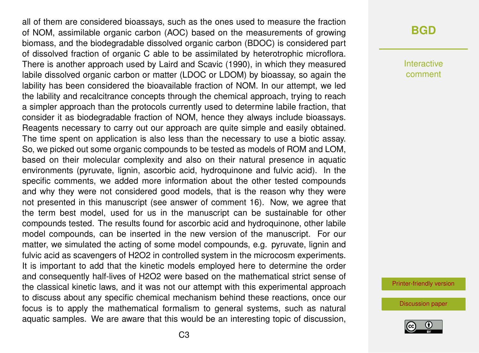all of them are considered bioassays, such as the ones used to measure the fraction of NOM, assimilable organic carbon (AOC) based on the measurements of growing biomass, and the biodegradable dissolved organic carbon (BDOC) is considered part of dissolved fraction of organic C able to be assimilated by heterotrophic microflora. There is another approach used by Laird and Scavic (1990), in which they measured labile dissolved organic carbon or matter (LDOC or LDOM) by bioassay, so again the lability has been considered the bioavailable fraction of NOM. In our attempt, we led the lability and recalcitrance concepts through the chemical approach, trying to reach a simpler approach than the protocols currently used to determine labile fraction, that consider it as biodegradable fraction of NOM, hence they always include bioassays. Reagents necessary to carry out our approach are quite simple and easily obtained. The time spent on application is also less than the necessary to use a biotic assay. So, we picked out some organic compounds to be tested as models of ROM and LOM, based on their molecular complexity and also on their natural presence in aquatic environments (pyruvate, lignin, ascorbic acid, hydroquinone and fulvic acid). In the specific comments, we added more information about the other tested compounds and why they were not considered good models, that is the reason why they were not presented in this manuscript (see answer of comment 16). Now, we agree that the term best model, used for us in the manuscript can be sustainable for other compounds tested. The results found for ascorbic acid and hydroquinone, other labile model compounds, can be inserted in the new version of the manuscript. For our matter, we simulated the acting of some model compounds, e.g. pyruvate, lignin and fulvic acid as scavengers of H2O2 in controlled system in the microcosm experiments. It is important to add that the kinetic models employed here to determine the order and consequently half-lives of H2O2 were based on the mathematical strict sense of the classical kinetic laws, and it was not our attempt with this experimental approach to discuss about any specific chemical mechanism behind these reactions, once our focus is to apply the mathematical formalism to general systems, such as natural aquatic samples. We are aware that this would be an interesting topic of discussion,

### **[BGD](https://www.biogeosciences-discuss.net/)**

Interactive comment

[Printer-friendly version](https://www.biogeosciences-discuss.net/bg-2018-122/bg-2018-122-AC1-print.pdf)

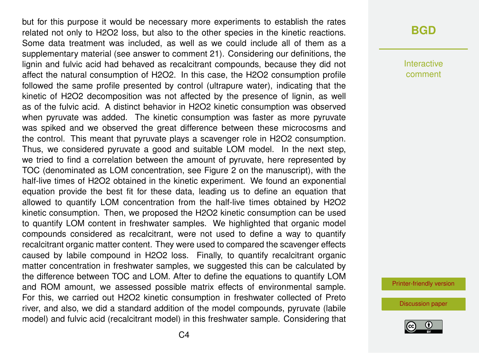but for this purpose it would be necessary more experiments to establish the rates related not only to H2O2 loss, but also to the other species in the kinetic reactions. Some data treatment was included, as well as we could include all of them as a supplementary material (see answer to comment 21). Considering our definitions, the lignin and fulvic acid had behaved as recalcitrant compounds, because they did not affect the natural consumption of H2O2. In this case, the H2O2 consumption profile followed the same profile presented by control (ultrapure water), indicating that the kinetic of H2O2 decomposition was not affected by the presence of lignin, as well as of the fulvic acid. A distinct behavior in H2O2 kinetic consumption was observed when pyruvate was added. The kinetic consumption was faster as more pyruvate was spiked and we observed the great difference between these microcosms and the control. This meant that pyruvate plays a scavenger role in H2O2 consumption. Thus, we considered pyruvate a good and suitable LOM model. In the next step, we tried to find a correlation between the amount of pyruvate, here represented by TOC (denominated as LOM concentration, see Figure 2 on the manuscript), with the half-live times of H2O2 obtained in the kinetic experiment. We found an exponential equation provide the best fit for these data, leading us to define an equation that allowed to quantify LOM concentration from the half-live times obtained by H2O2 kinetic consumption. Then, we proposed the H2O2 kinetic consumption can be used to quantify LOM content in freshwater samples. We highlighted that organic model compounds considered as recalcitrant, were not used to define a way to quantify recalcitrant organic matter content. They were used to compared the scavenger effects caused by labile compound in H2O2 loss. Finally, to quantify recalcitrant organic matter concentration in freshwater samples, we suggested this can be calculated by the difference between TOC and LOM. After to define the equations to quantify LOM and ROM amount, we assessed possible matrix effects of environmental sample. For this, we carried out H2O2 kinetic consumption in freshwater collected of Preto river, and also, we did a standard addition of the model compounds, pyruvate (labile model) and fulvic acid (recalcitrant model) in this freshwater sample. Considering that

#### **[BGD](https://www.biogeosciences-discuss.net/)**

Interactive comment

[Printer-friendly version](https://www.biogeosciences-discuss.net/bg-2018-122/bg-2018-122-AC1-print.pdf)